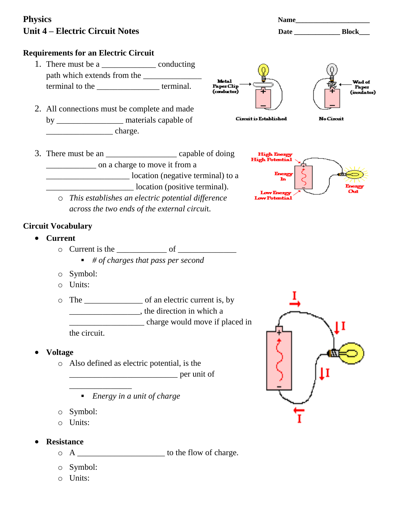# **Physics Name\_\_\_\_\_\_\_\_\_\_\_\_\_\_\_\_\_\_\_\_\_** Unit 4 – Electric Circuit Notes **Date Date Date Date Block**

#### **Requirements for an Electric Circuit**

- 1. There must be a \_\_\_\_\_\_\_\_\_\_\_\_\_\_\_\_\_\_\_\_\_\_\_ conducting path which extends from the terminal to the \_\_\_\_\_\_\_\_\_\_\_\_\_\_\_ terminal.
- 2. All connections must be complete and made by \_\_\_\_\_\_\_\_\_\_\_\_\_\_\_\_ materials capable of  $charge.$



3. There must be an \_\_\_\_\_\_\_\_\_\_\_\_\_\_\_\_\_ capable of doing \_\_\_\_\_\_\_\_\_\_\_\_ on a charge to move it from a \_\_\_\_\_\_\_\_\_\_\_\_\_\_\_\_\_\_\_\_ location (negative terminal) to a \_\_\_\_\_\_\_\_\_\_\_\_\_\_\_\_\_\_\_\_\_ location (positive terminal).



o *This establishes an electric potential difference across the two ends of the external circui*t.

#### **Circuit Vocabulary**

- **Current**
	- o Current is the \_\_\_\_\_\_\_\_\_\_\_\_ of \_\_\_\_\_\_\_\_\_\_\_\_\_\_
		- *# of charges that pass per second*
	- o Symbol:
	- o Units:
	- o The \_\_\_\_\_\_\_\_\_\_\_\_\_\_ of an electric current is, by \_\_\_\_\_\_\_\_\_\_\_\_\_\_\_\_\_, the direction in which a \_\_\_\_\_\_\_\_\_\_\_\_\_\_\_\_\_\_ charge would move if placed in the circuit.
- **Voltage**
	- o Also defined as electric potential, is the

\_\_\_\_\_\_\_\_\_\_\_\_\_\_\_\_\_\_\_\_\_\_\_\_\_\_ per unit of

- *Energy in a unit of charge*
- o Symbol:

\_\_\_\_\_\_\_\_\_\_\_\_\_\_\_

- o Units:
- **Resistance**
	- $\circ$  A \_\_\_\_\_\_\_\_\_\_\_\_\_\_\_\_\_\_\_\_\_\_\_\_\_\_ to the flow of charge.
	- o Symbol:
	- o Units:

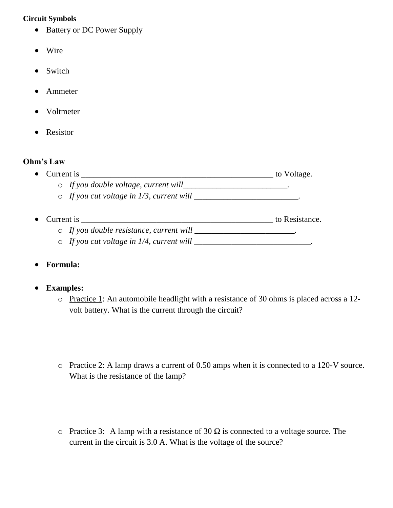#### **Circuit Symbols**

- Battery or DC Power Supply
- Wire
- Switch
- Ammeter
- Voltmeter
- Resistor

#### **Ohm's Law**

- Current is \_\_\_\_\_\_\_\_\_\_\_\_\_\_\_\_\_\_\_\_\_\_\_\_\_\_\_\_\_\_\_\_\_\_\_\_\_\_\_\_\_\_\_\_\_\_ to Voltage.
	- o *If you double voltage, current will\_\_\_\_\_\_\_\_\_\_\_\_\_\_\_\_\_\_\_\_\_\_\_\_\_.*
	- o *If you cut voltage in 1/3, current will \_\_\_\_\_\_\_\_\_\_\_\_\_\_\_\_\_\_\_\_\_\_\_\_\_.*
- Current is \_\_\_\_\_\_\_\_\_\_\_\_\_\_\_\_\_\_\_\_\_\_\_\_\_\_\_\_\_\_\_\_\_\_\_\_\_\_\_\_\_\_\_\_\_\_ to Resistance. o *If you double resistance, current will \_\_\_\_\_\_\_\_\_\_\_\_\_\_\_\_\_\_\_\_\_\_\_\_.*
	- $\circ$  *If you cut voltage in 1/4, current will \_\_\_\_\_\_\_\_\_\_\_\_\_\_\_\_\_\_\_\_\_\_\_\_\_\_\_\_\_*.
- **Formula:**

# **Examples:**

- o Practice 1: An automobile headlight with a resistance of 30 ohms is placed across a 12 volt battery. What is the current through the circuit?
- o Practice 2: A lamp draws a current of 0.50 amps when it is connected to a 120-V source. What is the resistance of the lamp?
- o Practice 3: A lamp with a resistance of 30  $\Omega$  is connected to a voltage source. The current in the circuit is 3.0 A. What is the voltage of the source?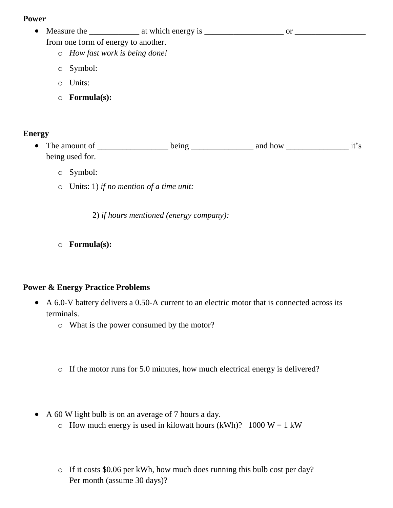#### **Power**

| Measure the                          | at which energy is |  |  |
|--------------------------------------|--------------------|--|--|
| from one form of energy to another.  |                    |  |  |
| $\circ$ How fast work is being done! |                    |  |  |
| $\circ$ Symbol:                      |                    |  |  |

- o Units:
- o **Formula(s):**

# **Energy**

- The amount of  $\frac{1}{\text{being}}$  being  $\frac{1}{\text{using}}$  and how  $\frac{1}{\text{if}}$ 's being used for.
	- o Symbol:
	- o Units: 1) *if no mention of a time unit:*

2) *if hours mentioned (energy company):*

o **Formula(s):** 

# **Power & Energy Practice Problems**

- A 6.0-V battery delivers a 0.50-A current to an electric motor that is connected across its terminals.
	- o What is the power consumed by the motor?
	- o If the motor runs for 5.0 minutes, how much electrical energy is delivered?
- A 60 W light bulb is on an average of 7 hours a day.
	- $\circ$  How much energy is used in kilowatt hours (kWh)? 1000 W = 1 kW
	- o If it costs \$0.06 per kWh, how much does running this bulb cost per day? Per month (assume 30 days)?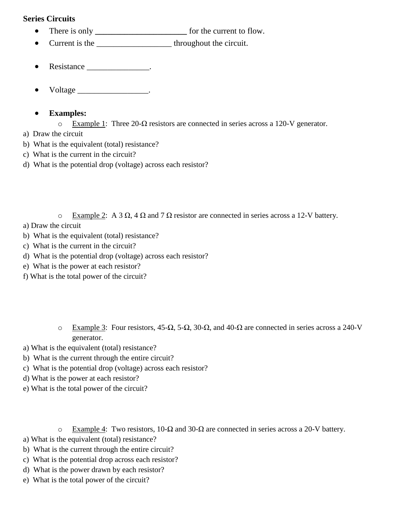#### **Series Circuits**

- There is only **\_\_\_\_\_\_\_\_\_\_\_\_\_\_\_\_** for the current to flow.
- Current is the \_\_\_\_\_\_\_\_\_\_\_\_\_\_\_\_\_\_\_\_\_\_\_\_ throughout the circuit.
- Resistance \_\_\_\_\_\_\_\_\_\_\_\_\_\_\_\_.
- Voltage \_\_\_\_\_\_\_\_\_\_\_\_\_\_\_\_\_\_\_\_\_.

# **Examples:**

- o Example 1: Three 20-Ω resistors are connected in series across a 120-V generator.
- a) Draw the circuit
- b) What is the equivalent (total) resistance?
- c) What is the current in the circuit?
- d) What is the potential drop (voltage) across each resistor?

o Example 2: A 3 Ω, 4 Ω and 7 Ω resistor are connected in series across a 12-V battery.

# a) Draw the circuit

- b) What is the equivalent (total) resistance?
- c) What is the current in the circuit?
- d) What is the potential drop (voltage) across each resistor?
- e) What is the power at each resistor?
- f) What is the total power of the circuit?
	- o Example 3: Four resistors, 45-Ω, 5-Ω, 30-Ω, and 40-Ω are connected in series across a 240-V generator.
- a) What is the equivalent (total) resistance?
- b) What is the current through the entire circuit?
- c) What is the potential drop (voltage) across each resistor?
- d) What is the power at each resistor?
- e) What is the total power of the circuit?
	- o Example 4: Two resistors, 10-Ω and 30-Ω are connected in series across a 20-V battery.
- a) What is the equivalent (total) resistance?
- b) What is the current through the entire circuit?
- c) What is the potential drop across each resistor?
- d) What is the power drawn by each resistor?
- e) What is the total power of the circuit?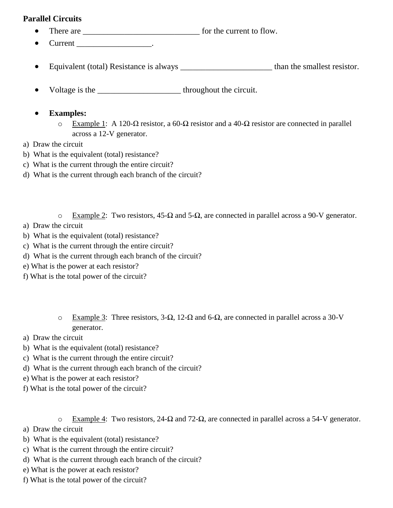# **Parallel Circuits**

- There are \_\_\_\_\_\_\_\_\_\_\_\_\_\_\_\_\_\_\_\_\_\_\_\_\_\_\_\_ for the current to flow.
- $\bullet$  Current \_\_\_\_\_\_\_\_\_\_\_\_\_\_\_\_.
- Equivalent (total) Resistance is always \_\_\_\_\_\_\_\_\_\_\_\_\_\_\_\_\_\_\_\_\_\_\_\_\_\_\_\_\_ than the smallest resistor.
- Voltage is the throughout the circuit.

# **Examples:**

- o Example 1: A 120-Ω resistor, a 60-Ω resistor and a 40-Ω resistor are connected in parallel across a 12-V generator.
- a) Draw the circuit
- b) What is the equivalent (total) resistance?
- c) What is the current through the entire circuit?
- d) What is the current through each branch of the circuit?
	- o Example 2: Two resistors, 45-Ω and 5-Ω, are connected in parallel across a 90-V generator.
- a) Draw the circuit
- b) What is the equivalent (total) resistance?
- c) What is the current through the entire circuit?
- d) What is the current through each branch of the circuit?
- e) What is the power at each resistor?
- f) What is the total power of the circuit?
	- o Example 3: Three resistors, 3-Ω, 12-Ω and 6-Ω, are connected in parallel across a 30-V generator.
- a) Draw the circuit
- b) What is the equivalent (total) resistance?
- c) What is the current through the entire circuit?
- d) What is the current through each branch of the circuit?
- e) What is the power at each resistor?
- f) What is the total power of the circuit?
	- o Example 4: Two resistors, 24-Ω and 72-Ω, are connected in parallel across a 54-V generator.
- a) Draw the circuit
- b) What is the equivalent (total) resistance?
- c) What is the current through the entire circuit?
- d) What is the current through each branch of the circuit?
- e) What is the power at each resistor?
- f) What is the total power of the circuit?